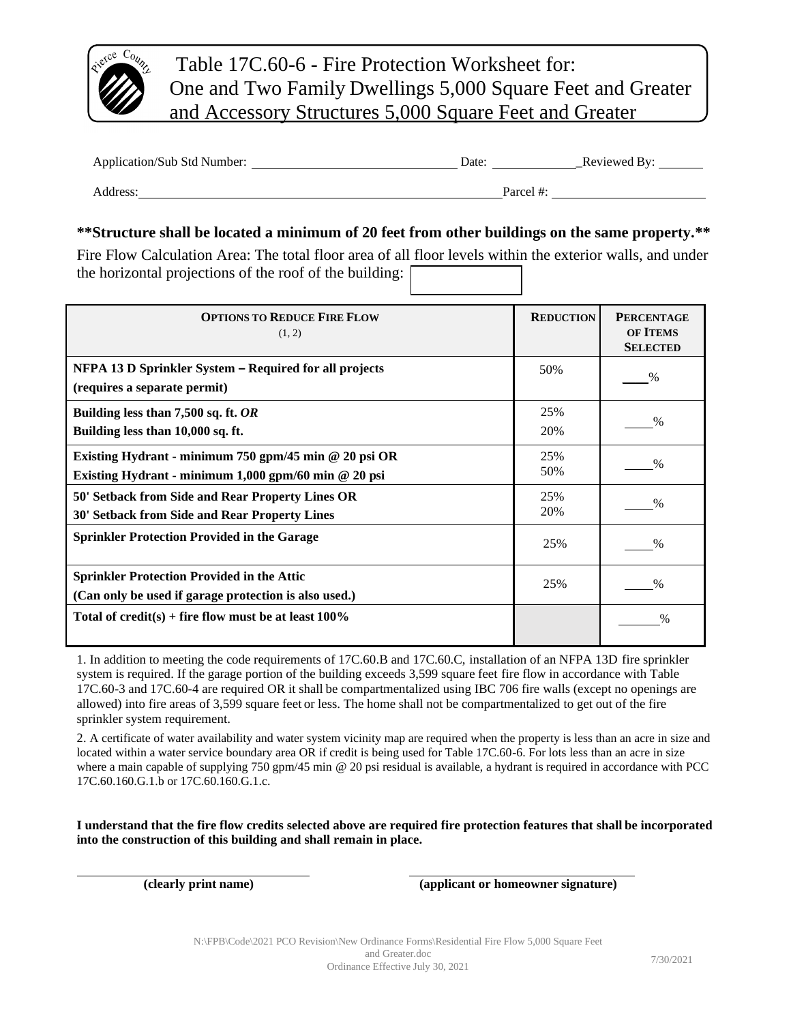

Table 17C.60-6 - Fire Protection Worksheet for: One and Two Family Dwellings 5,000 Square Feet and Greater and Accessory Structures 5,000 Square Feet and Greater

Application/Sub Std Number: Date: \_Reviewed By:

Address: Parcel #:

## **\*\*Structure shall be located a minimum of 20 feet from other buildings on the same property.\*\***

Fire Flow Calculation Area: The total floor area of all floor levels within the exterior walls, and under the horizontal projections of the roof of the building:

| <b>OPTIONS TO REDUCE FIRE FLOW</b><br>(1, 2)                                                                      | <b>REDUCTION</b> | <b>PERCENTAGE</b><br><b>OF ITEMS</b><br><b>SELECTED</b> |
|-------------------------------------------------------------------------------------------------------------------|------------------|---------------------------------------------------------|
| NFPA 13 D Sprinkler System – Required for all projects<br>(requires a separate permit)                            | 50%              | $\%$                                                    |
| Building less than 7,500 sq. ft. OR<br>Building less than 10,000 sq. ft.                                          | 25%<br>20%       | $\%$                                                    |
| Existing Hydrant - minimum 750 gpm/45 min @ 20 psi OR<br>Existing Hydrant - minimum $1,000$ gpm/60 min $@$ 20 psi | 25%<br>50%       | $\frac{0}{0}$                                           |
| 50' Setback from Side and Rear Property Lines OR<br>30' Setback from Side and Rear Property Lines                 | 25%<br>20%       | $\%$                                                    |
| <b>Sprinkler Protection Provided in the Garage</b>                                                                | 25%              | $\%$                                                    |
| <b>Sprinkler Protection Provided in the Attic</b><br>(Can only be used if garage protection is also used.)        | 25%              | $\%$                                                    |
| Total of credit(s) + fire flow must be at least $100\%$                                                           |                  | $\%$                                                    |

allowed) into fire areas of 3,599 square feet or less. The home shall not be compartmentalized to get out of the fire 1. In addition to meeting the code requirements of 17C.60.B and 17C.60.C, installation of an NFPA 13D fire sprinkler system is required. If the garage portion of the building exceeds 3,599 square feet fire flow in accordance with Table 17C.60-3 and 17C.60-4 are required OR it shall be compartmentalized using IBC 706 fire walls (except no openings are sprinkler system requirement.

sprinkler system requirement.<br>2. A certificate of water availability and water system vicinity map are required when the property is less than an acre in size and located within a water service boundary area OR if credit is being used for Table 17C.60-6. For lots less than an acre in size where a main capable of supplying 750 gpm/45 min @ 20 psi residual is available, a hydrant is required in accordance with PCC  $^{17}$ C  $^{6}$   $^{16}$   $^{17}$ C  $^{6}$   $^{17}$ C  $^{6}$   $^{16}$   $^{17}$ C  $^{6}$   $^{16}$   $^{17}$ C  $^{6}$   $^{16$ 17C.60.160.G.1.b or 17C.60.160.G.1.c.

**I understand that the fire flow credits selected above are required fire protection features that shall be incorporated into the construction of this building and shall remain in place.**

**(clearly print name) (applicant or homeowner signature)**